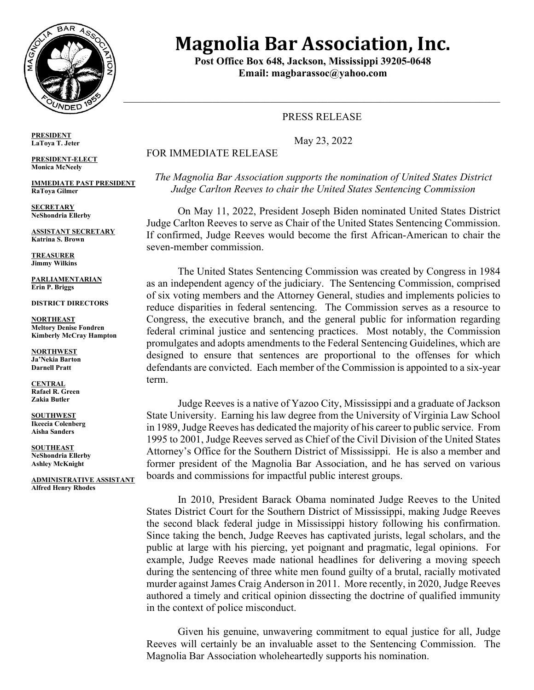

# **Magnolia Bar Association, Inc.**

**Post Office Box 648, Jackson, Mississippi 39205-0648 Email: magbarassoc@yahoo.com**

 $\_$  , and the set of the set of the set of the set of the set of the set of the set of the set of the set of the set of the set of the set of the set of the set of the set of the set of the set of the set of the set of th

## PRESS RELEASE

May 23, 2022

## FOR IMMEDIATE RELEASE

*The Magnolia Bar Association supports the nomination of United States District Judge Carlton Reeves to chair the United States Sentencing Commission*

On May 11, 2022, President Joseph Biden nominated United States District Judge Carlton Reeves to serve as Chair of the United States Sentencing Commission. If confirmed, Judge Reeves would become the first African-American to chair the seven-member commission.

The United States Sentencing Commission was created by Congress in 1984 as an independent agency of the judiciary. The Sentencing Commission, comprised of six voting members and the Attorney General, studies and implements policies to reduce disparities in federal sentencing. The Commission serves as a resource to Congress, the executive branch, and the general public for information regarding federal criminal justice and sentencing practices. Most notably, the Commission promulgates and adopts amendments to the Federal Sentencing Guidelines, which are designed to ensure that sentences are proportional to the offenses for which defendants are convicted. Each member of the Commission is appointed to a six-year term.

Judge Reeves is a native of Yazoo City, Mississippi and a graduate of Jackson State University. Earning his law degree from the University of Virginia Law School in 1989, Judge Reeves has dedicated the majority of his career to public service. From 1995 to 2001, Judge Reeves served as Chief of the Civil Division of the United States Attorney's Office for the Southern District of Mississippi. He is also a member and former president of the Magnolia Bar Association, and he has served on various boards and commissions for impactful public interest groups.

In 2010, President Barack Obama nominated Judge Reeves to the United States District Court for the Southern District of Mississippi, making Judge Reeves the second black federal judge in Mississippi history following his confirmation. Since taking the bench, Judge Reeves has captivated jurists, legal scholars, and the public at large with his piercing, yet poignant and pragmatic, legal opinions. For example, Judge Reeves made national headlines for delivering a moving speech during the sentencing of three white men found guilty of a brutal, racially motivated murder against James Craig Anderson in 2011. More recently, in 2020, Judge Reeves authored a timely and critical opinion dissecting the doctrine of qualified immunity in the context of police misconduct.

Given his genuine, unwavering commitment to equal justice for all, Judge Reeves will certainly be an invaluable asset to the Sentencing Commission. The Magnolia Bar Association wholeheartedly supports his nomination.

**PRESIDENT LaToya T. Jeter**

**PRESIDENT-ELECT Monica McNeely**

**IMMEDIATE PAST PRESIDENT RaToya Gilmer**

**SECRETARY NeShondria Ellerby**

**ASSISTANT SECRETARY Katrina S. Brown**

**TREASURER Jimmy Wilkins**

**PARLIAMENTARIAN Erin P. Briggs**

**DISTRICT DIRECTORS**

**NORTHEAST Meltory Denise Fondren Kimberly McCray Hampton**

**NORTHWEST Ja'Nekia Barton Darnell Pratt**

**CENTRAL Rafael R. Green Zakia Butler**

**SOUTHWEST Ikeecia Colenberg Aisha Sanders**

**SOUTHEAST NeShondria Ellerby Ashley McKnight**

**ADMINISTRATIVE ASSISTANT Alfred Henry Rhodes**